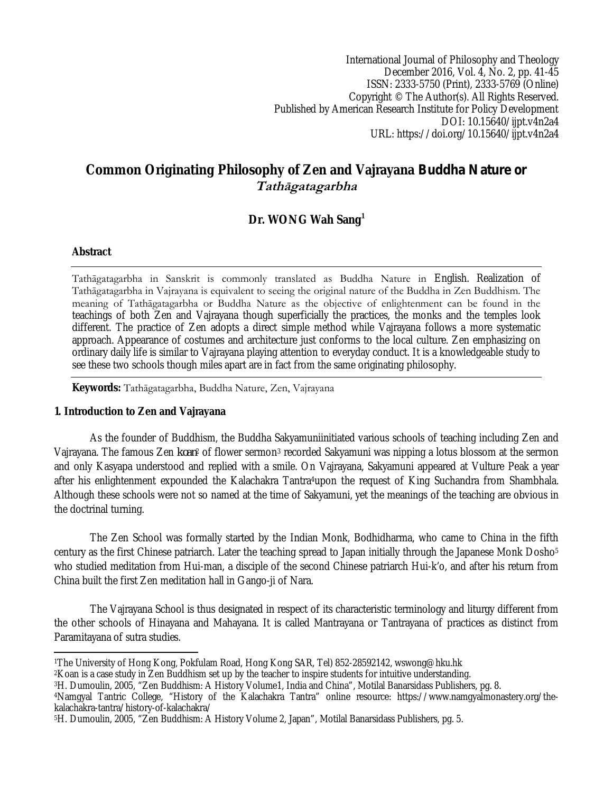International Journal of Philosophy and Theology December 2016, Vol. 4, No. 2, pp. 41-45 ISSN: 2333-5750 (Print), 2333-5769 (Online) Copyright © The Author(s). All Rights Reserved. Published by American Research Institute for Policy Development DOI: 10.15640/ijpt.v4n2a4 URL: https://doi.org/10.15640/ijpt.v4n2a4

# **Common Originating Philosophy of Zen and Vajrayana** *Buddha Nature or Tathāgatagarbha*

## **Dr. WONG Wah Sang<sup>1</sup>**

#### **Abstract**

Tathāgatagarbha in Sanskrit is commonly translated as Buddha Nature in English. Realization of Tathāgatagarbha in Vajrayana is equivalent to seeing the original nature of the Buddha in Zen Buddhism. The meaning of Tathāgatagarbha or Buddha Nature as the objective of enlightenment can be found in the teachings of both Zen and Vajrayana though superficially the practices, the monks and the temples look different. The practice of Zen adopts a direct simple method while Vajrayana follows a more systematic approach. Appearance of costumes and architecture just conforms to the local culture. Zen emphasizing on ordinary daily life is similar to Vajrayana playing attention to everyday conduct. It is a knowledgeable study to see these two schools though miles apart are in fact from the same originating philosophy.

**Keywords:** Tathāgatagarbha, Buddha Nature, Zen, Vajrayana

#### **1. Introduction to Zen and Vajrayana**

As the founder of Buddhism, the Buddha Sakyamuniinitiated various schools of teaching including Zen and Vajrayana. The famous Zen *koan*<sup>2</sup> of flower sermon<sup>3</sup> recorded Sakyamuni was nipping a lotus blossom at the sermon and only Kasyapa understood and replied with a smile. On Vajrayana, Sakyamuni appeared at Vulture Peak a year after his enlightenment expounded the Kalachakra Tantra4upon the request of King Suchandra from Shambhala. Although these schools were not so named at the time of Sakyamuni, yet the meanings of the teaching are obvious in the doctrinal turning.

The Zen School was formally started by the Indian Monk, Bodhidharma, who came to China in the fifth century as the first Chinese patriarch. Later the teaching spread to Japan initially through the Japanese Monk Dosho<sup>5</sup> who studied meditation from Hui-man, a disciple of the second Chinese patriarch Hui-k'o, and after his return from China built the first Zen meditation hall in Gango-ji of Nara.

The Vajrayana School is thus designated in respect of its characteristic terminology and liturgy different from the other schools of Hinayana and Mahayana. It is called Mantrayana or Tantrayana of practices as distinct from Paramitayana of sutra studies.

 $\overline{a}$ <sup>1</sup>The University of Hong Kong, Pokfulam Road, Hong Kong SAR, Tel) 852-28592142, wswong@hku.hk

<sup>2</sup>Koan is a case study in Zen Buddhism set up by the teacher to inspire students for intuitive understanding.

<sup>3</sup>H. Dumoulin, 2005, "Zen Buddhism: A History Volume1, India and China", Motilal Banarsidass Publishers, pg. 8.

<sup>4</sup>Namgyal Tantric College, "History of the Kalachakra Tantra" online resource: https://www.namgyalmonastery.org/thekalachakra-tantra/history-of-kalachakra/

<sup>5</sup>H. Dumoulin, 2005, "Zen Buddhism: A History Volume 2, Japan", Motilal Banarsidass Publishers, pg. 5.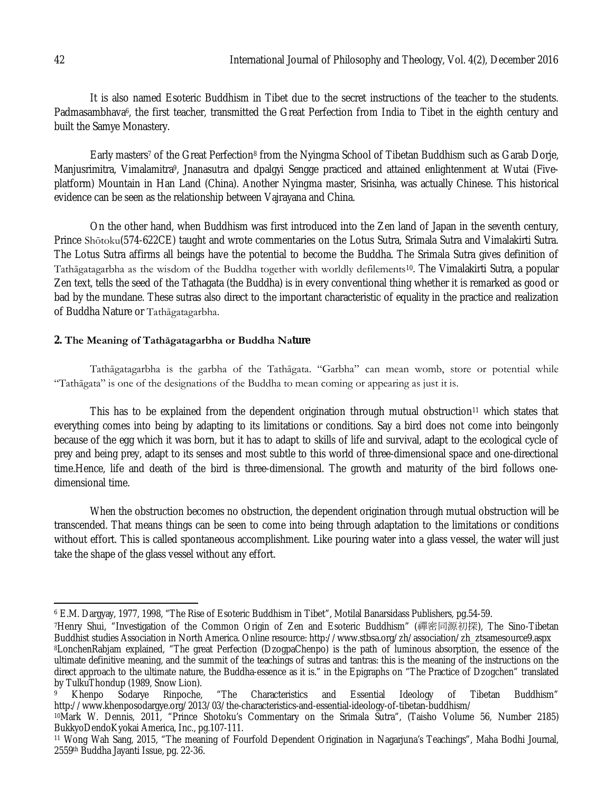It is also named Esoteric Buddhism in Tibet due to the secret instructions of the teacher to the students. Padmasambhava<sup>6</sup>, the first teacher, transmitted the Great Perfection from India to Tibet in the eighth century and built the Samye Monastery.

Early masters<sup>7</sup> of the Great Perfection<sup>8</sup> from the Nyingma School of Tibetan Buddhism such as Garab Dorje, Manjusrimitra, Vimalamitra9, Jnanasutra and dpalgyi Sengge practiced and attained enlightenment at Wutai (Fiveplatform) Mountain in Han Land (China). Another Nyingma master, Srisinha, was actually Chinese. This historical evidence can be seen as the relationship between Vajrayana and China.

On the other hand, when Buddhism was first introduced into the Zen land of Japan in the seventh century, Prince Shōtoku(574-622CE) taught and wrote commentaries on the Lotus Sutra, Srimala Sutra and Vimalakirti Sutra. The Lotus Sutra affirms all beings have the potential to become the Buddha. The Srimala Sutra gives definition of Tathāgatagarbha as the wisdom of the Buddha together with worldly defilements10. The Vimalakirti Sutra, a popular Zen text, tells the seed of the Tathagata (the Buddha) is in every conventional thing whether it is remarked as good or bad by the mundane. These sutras also direct to the important characteristic of equality in the practice and realization of Buddha Nature or Tathāgatagarbha.

#### **2. The Meaning of Tathāgatagarbha or Buddha Nature**

Tathāgatagarbha is the garbha of the Tathāgata. "Garbha" can mean womb, store or potential while "Tathāgata" is one of the designations of the Buddha to mean coming or appearing as just it is.

This has to be explained from the dependent origination through mutual obstruction<sup>11</sup> which states that everything comes into being by adapting to its limitations or conditions. Say a bird does not come into beingonly because of the egg which it was born, but it has to adapt to skills of life and survival, adapt to the ecological cycle of prey and being prey, adapt to its senses and most subtle to this world of three-dimensional space and one-directional time.Hence, life and death of the bird is three-dimensional. The growth and maturity of the bird follows onedimensional time.

When the obstruction becomes no obstruction, the dependent origination through mutual obstruction will be transcended. That means things can be seen to come into being through adaptation to the limitations or conditions without effort. This is called spontaneous accomplishment. Like pouring water into a glass vessel, the water will just take the shape of the glass vessel without any effort.

 $\overline{\phantom{a}}$ 

<sup>6</sup> E.M. Dargyay, 1977, 1998, "The Rise of Esoteric Buddhism in Tibet", Motilal Banarsidass Publishers, pg.54-59.

<sup>7</sup>Henry Shui, "Investigation of the Common Origin of Zen and Esoteric Buddhism" (禪密同源初探), The Sino-Tibetan Buddhist studies Association in North America. Online resource: http://www.stbsa.org/zh/association/zh\_ztsamesource9.aspx <sup>8</sup>LonchenRabjam explained, "The great Perfection (DzogpaChenpo) is the path of luminous absorption, the essence of the ultimate definitive meaning, and the summit of the teachings of sutras and tantras: this is the meaning of the instructions on the direct approach to the ultimate nature, the Buddha-essence as it is." in the Epigraphs on "The Practice of Dzogchen" translated by TulkuThondup (1989, Snow Lion).<br><sup>9</sup> Khenpo Sodarye Rinpoche,

<sup>9</sup> Khenpo Sodarye Rinpoche, "The Characteristics and Essential Ideology of Tibetan Buddhism" http://www.khenposodargye.org/2013/03/the-characteristics-and-essential-ideology-of-tibetan-buddhism/

<sup>10</sup>Mark W. Dennis, 2011, "Prince Shotoku's Commentary on the Srimala Sutra", (Taisho Volume 56, Number 2185) BukkyoDendoKyokai America, Inc., pg.107-111.

<sup>11</sup> Wong Wah Sang, 2015, "The meaning of Fourfold Dependent Origination in Nagarjuna's Teachings", Maha Bodhi Journal, 2559th Buddha Jayanti Issue, pg. 22-36.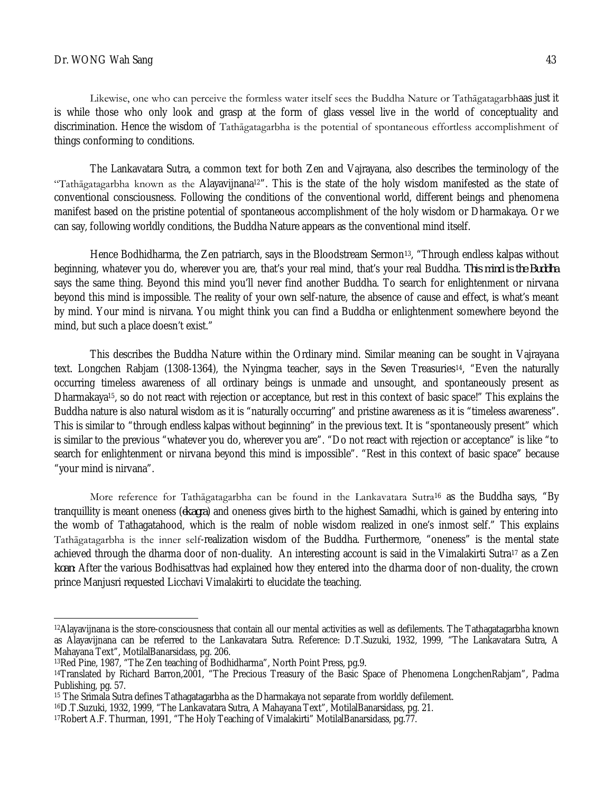Likewise, one who can perceive the formless water itself sees the Buddha Nature or Tathāgatagarbhaas just it is while those who only look and grasp at the form of glass vessel live in the world of conceptuality and discrimination. Hence the wisdom of Tathāgatagarbha is the potential of spontaneous effortless accomplishment of things conforming to conditions.

The Lankavatara Sutra, a common text for both Zen and Vajrayana, also describes the terminology of the "Tathāgatagarbha known as the Alayavijnana12". This is the state of the holy wisdom manifested as the state of conventional consciousness. Following the conditions of the conventional world, different beings and phenomena manifest based on the pristine potential of spontaneous accomplishment of the holy wisdom or Dharmakaya. Or we can say, following worldly conditions, the Buddha Nature appears as the conventional mind itself.

Hence Bodhidharma, the Zen patriarch, says in the Bloodstream Sermon<sup>13</sup>, "Through endless kalpas without beginning, whatever you do, wherever you are, that's your real mind, that's your real Buddha. *This mind is the Buddha* says the same thing. Beyond this mind you'll never find another Buddha. To search for enlightenment or nirvana beyond this mind is impossible. The reality of your own self-nature, the absence of cause and effect, is what's meant by mind. Your mind is nirvana. You might think you can find a Buddha or enlightenment somewhere beyond the mind, but such a place doesn't exist."

This describes the Buddha Nature within the Ordinary mind. Similar meaning can be sought in Vajrayana text. Longchen Rabjam (1308-1364), the Nyingma teacher, says in the Seven Treasuries14, "Even the naturally occurring timeless awareness of all ordinary beings is unmade and unsought, and spontaneously present as Dharmakaya15, so do not react with rejection or acceptance, but rest in this context of basic space!" This explains the Buddha nature is also natural wisdom as it is "naturally occurring" and pristine awareness as it is "timeless awareness". This is similar to "through endless kalpas without beginning" in the previous text. It is "spontaneously present" which is similar to the previous "whatever you do, wherever you are". "Do not react with rejection or acceptance" is like "to search for enlightenment or nirvana beyond this mind is impossible". "Rest in this context of basic space" because "your mind is nirvana".

More reference for Tathagatagarbha can be found in the Lankavatara Sutra<sup>16</sup> as the Buddha says, "By tranquillity is meant oneness (*ekagra*) and oneness gives birth to the highest Samadhi, which is gained by entering into the womb of Tathagatahood, which is the realm of noble wisdom realized in one's inmost self." This explains Tathāgatagarbha is the inner self-realization wisdom of the Buddha. Furthermore, "oneness" is the mental state achieved through the dharma door of non-duality. An interesting account is said in the Vimalakirti Sutra<sup>17</sup> as a Zen *koan*: After the various Bodhisattvas had explained how they entered into the dharma door of non-duality, the crown prince Manjusri requested Licchavi Vimalakirti to elucidate the teaching.

 $\overline{a}$ <sup>12</sup>Alayavijnana is the store-consciousness that contain all our mental activities as well as defilements. The Tathagatagarbha known as Alayavijnana can be referred to the Lankavatara Sutra. Reference: D.T.Suzuki, 1932, 1999, "The Lankavatara Sutra, A Mahayana Text", MotilalBanarsidass, pg. 206.

<sup>13</sup>Red Pine, 1987, "The Zen teaching of Bodhidharma", North Point Press, pg.9.

<sup>14</sup>Translated by Richard Barron,2001, "The Precious Treasury of the Basic Space of Phenomena LongchenRabjam", Padma Publishing, pg. 57.

<sup>15</sup> The Srimala Sutra defines Tathagatagarbha as the Dharmakaya not separate from worldly defilement.

<sup>16</sup>D.T.Suzuki, 1932, 1999, "The Lankavatara Sutra, A Mahayana Text", MotilalBanarsidass, pg. 21.

<sup>17</sup>Robert A.F. Thurman, 1991, "The Holy Teaching of Vimalakirti" MotilalBanarsidass, pg.77.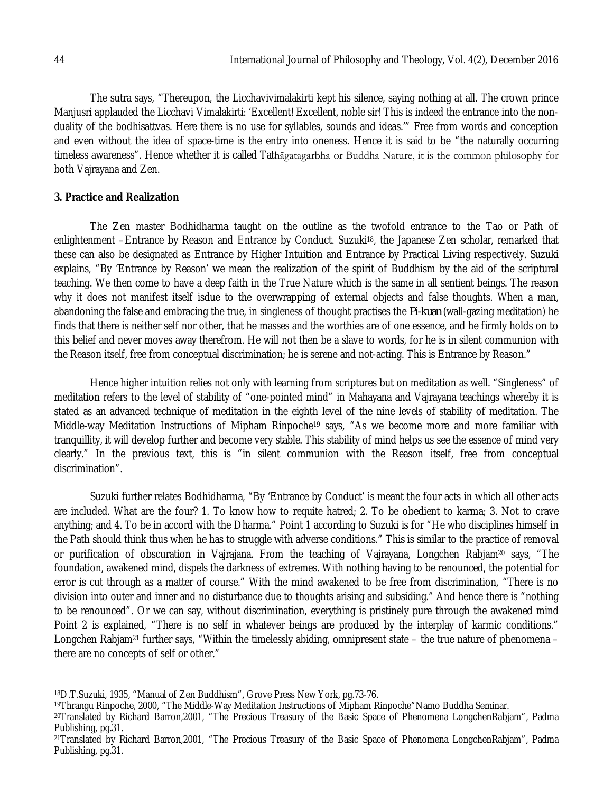The sutra says, "Thereupon, the Licchavivimalakirti kept his silence, saying nothing at all. The crown prince Manjusri applauded the Licchavi Vimalakirti: 'Excellent! Excellent, noble sir! This is indeed the entrance into the nonduality of the bodhisattvas. Here there is no use for syllables, sounds and ideas.'" Free from words and conception and even without the idea of space-time is the entry into oneness. Hence it is said to be "the naturally occurring timeless awareness". Hence whether it is called Tathāgatagarbha or Buddha Nature, it is the common philosophy for both Vajrayana and Zen.

### **3. Practice and Realization**

The Zen master Bodhidharma taught on the outline as the twofold entrance to the Tao or Path of enlightenment –Entrance by Reason and Entrance by Conduct. Suzuki18, the Japanese Zen scholar, remarked that these can also be designated as Entrance by Higher Intuition and Entrance by Practical Living respectively. Suzuki explains, "By 'Entrance by Reason' we mean the realization of the spirit of Buddhism by the aid of the scriptural teaching. We then come to have a deep faith in the True Nature which is the same in all sentient beings. The reason why it does not manifest itself isdue to the overwrapping of external objects and false thoughts. When a man, abandoning the false and embracing the true, in singleness of thought practises the *Pi-kuan* (wall-gazing meditation) he finds that there is neither self nor other, that he masses and the worthies are of one essence, and he firmly holds on to this belief and never moves away therefrom. He will not then be a slave to words, for he is in silent communion with the Reason itself, free from conceptual discrimination; he is serene and not-acting. This is Entrance by Reason."

Hence higher intuition relies not only with learning from scriptures but on meditation as well. "Singleness" of meditation refers to the level of stability of "one-pointed mind" in Mahayana and Vajrayana teachings whereby it is stated as an advanced technique of meditation in the eighth level of the nine levels of stability of meditation. The Middle-way Meditation Instructions of Mipham Rinpoche<sup>19</sup> says, "As we become more and more familiar with tranquillity, it will develop further and become very stable. This stability of mind helps us see the essence of mind very clearly." In the previous text, this is "in silent communion with the Reason itself, free from conceptual discrimination".

Suzuki further relates Bodhidharma, "By 'Entrance by Conduct' is meant the four acts in which all other acts are included. What are the four? 1. To know how to requite hatred; 2. To be obedient to karma; 3. Not to crave anything; and 4. To be in accord with the Dharma." Point 1 according to Suzuki is for "He who disciplines himself in the Path should think thus when he has to struggle with adverse conditions." This is similar to the practice of removal or purification of obscuration in Vajrajana. From the teaching of Vajrayana, Longchen Rabjam<sup>20</sup> says, "The foundation, awakened mind, dispels the darkness of extremes. With nothing having to be renounced, the potential for error is cut through as a matter of course." With the mind awakened to be free from discrimination, "There is no division into outer and inner and no disturbance due to thoughts arising and subsiding." And hence there is "nothing to be renounced". Or we can say, without discrimination, everything is pristinely pure through the awakened mind Point 2 is explained, "There is no self in whatever beings are produced by the interplay of karmic conditions." Longchen Rabjam<sup>21</sup> further says, "Within the timelessly abiding, omnipresent state – the true nature of phenomena – there are no concepts of self or other."

 $\overline{a}$ <sup>18</sup>D.T.Suzuki, 1935, "Manual of Zen Buddhism", Grove Press New York, pg.73-76.

<sup>19</sup>Thrangu Rinpoche, 2000, "The Middle-Way Meditation Instructions of Mipham Rinpoche"Namo Buddha Seminar.

<sup>20</sup>Translated by Richard Barron,2001, "The Precious Treasury of the Basic Space of Phenomena LongchenRabjam", Padma Publishing, pg.31.

<sup>21</sup>Translated by Richard Barron,2001, "The Precious Treasury of the Basic Space of Phenomena LongchenRabjam", Padma Publishing, pg.31.